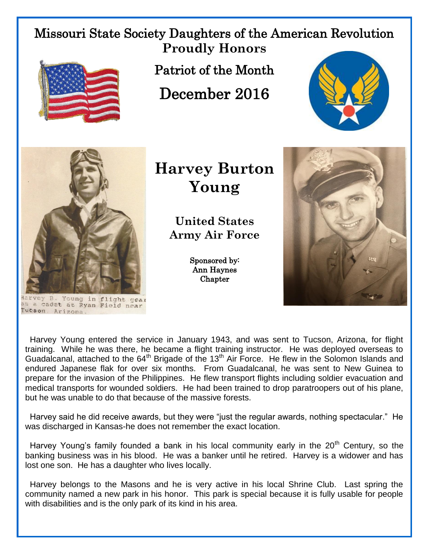## Missouri State Society Daughters of the American Revolution **Proudly Honors**



Patriot of the Month

December 2016





rvey B. Young in flight gear as a cadet at Ryan Field near Tucson Arizona

## **Harvey Burton Young**

**United States Army Air Force**

> Sponsored by: Ann Haynes Chapter



 Harvey Young entered the service in January 1943, and was sent to Tucson, Arizona, for flight training. While he was there, he became a flight training instructor. He was deployed overseas to Guadalcanal, attached to the  $64<sup>th</sup>$  Brigade of the 13<sup>th</sup> Air Force. He flew in the Solomon Islands and endured Japanese flak for over six months. From Guadalcanal, he was sent to New Guinea to prepare for the invasion of the Philippines. He flew transport flights including soldier evacuation and medical transports for wounded soldiers. He had been trained to drop paratroopers out of his plane, but he was unable to do that because of the massive forests.

 Harvey said he did receive awards, but they were "just the regular awards, nothing spectacular." He was discharged in Kansas-he does not remember the exact location.

Harvey Young's family founded a bank in his local community early in the  $20<sup>th</sup>$  Century, so the banking business was in his blood. He was a banker until he retired. Harvey is a widower and has lost one son. He has a daughter who lives locally.

 Harvey belongs to the Masons and he is very active in his local Shrine Club. Last spring the community named a new park in his honor. This park is special because it is fully usable for people with disabilities and is the only park of its kind in his area.